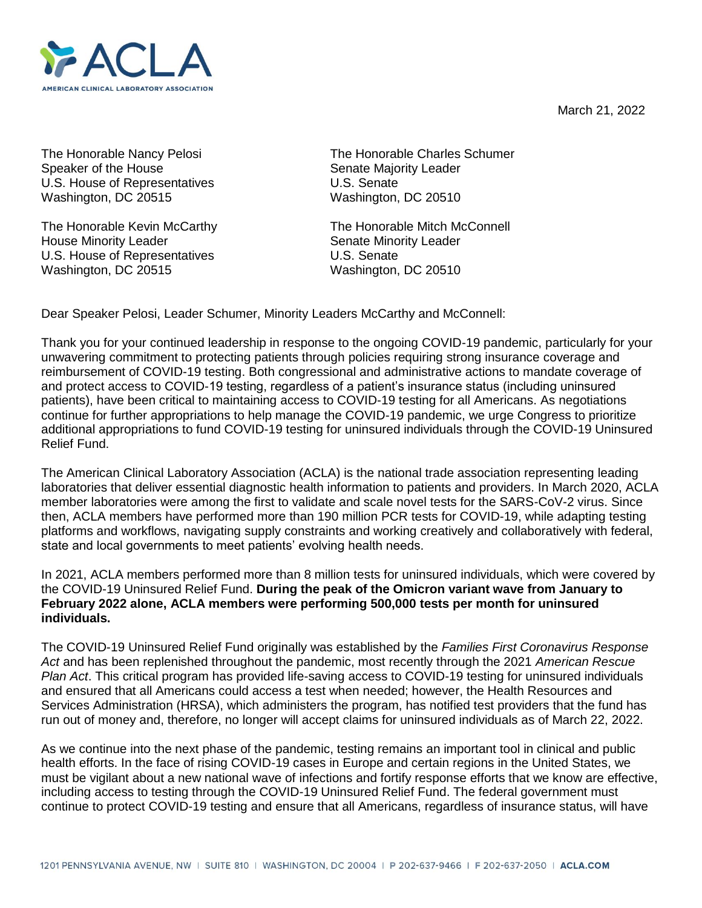March 21, 2022



Speaker of the House Speaker of the House Senate Majority Leader U.S. House of Representatives U.S. Senate Washington, DC 20515 Washington, DC 20510

House Minority Leader **Senate Minority Leader** Senate Minority Leader U.S. House of Representatives U.S. Senate Washington, DC 20515 Washington, DC 20510

The Honorable Nancy Pelosi The Honorable Charles Schumer

The Honorable Kevin McCarthy The Honorable Mitch McConnell

Dear Speaker Pelosi, Leader Schumer, Minority Leaders McCarthy and McConnell:

Thank you for your continued leadership in response to the ongoing COVID-19 pandemic, particularly for your unwavering commitment to protecting patients through policies requiring strong insurance coverage and reimbursement of COVID-19 testing. Both congressional and administrative actions to mandate coverage of and protect access to COVID-19 testing, regardless of a patient's insurance status (including uninsured patients), have been critical to maintaining access to COVID-19 testing for all Americans. As negotiations continue for further appropriations to help manage the COVID-19 pandemic, we urge Congress to prioritize additional appropriations to fund COVID-19 testing for uninsured individuals through the COVID-19 Uninsured Relief Fund.

The American Clinical Laboratory Association (ACLA) is the national trade association representing leading laboratories that deliver essential diagnostic health information to patients and providers. In March 2020, ACLA member laboratories were among the first to validate and scale novel tests for the SARS-CoV-2 virus. Since then, ACLA members have performed more than 190 million PCR tests for COVID-19, while adapting testing platforms and workflows, navigating supply constraints and working creatively and collaboratively with federal, state and local governments to meet patients' evolving health needs.

In 2021, ACLA members performed more than 8 million tests for uninsured individuals, which were covered by the COVID-19 Uninsured Relief Fund. **During the peak of the Omicron variant wave from January to February 2022 alone, ACLA members were performing 500,000 tests per month for uninsured individuals.**

The COVID-19 Uninsured Relief Fund originally was established by the *Families First Coronavirus Response Act* and has been replenished throughout the pandemic, most recently through the 2021 *American Rescue Plan Act*. This critical program has provided life-saving access to COVID-19 testing for uninsured individuals and ensured that all Americans could access a test when needed; however, the Health Resources and Services Administration (HRSA), which administers the program, has notified test providers that the fund has run out of money and, therefore, no longer will accept claims for uninsured individuals as of March 22, 2022.

As we continue into the next phase of the pandemic, testing remains an important tool in clinical and public health efforts. In the face of rising COVID-19 cases in Europe and certain regions in the United States, we must be vigilant about a new national wave of infections and fortify response efforts that we know are effective, including access to testing through the COVID-19 Uninsured Relief Fund. The federal government must continue to protect COVID-19 testing and ensure that all Americans, regardless of insurance status, will have